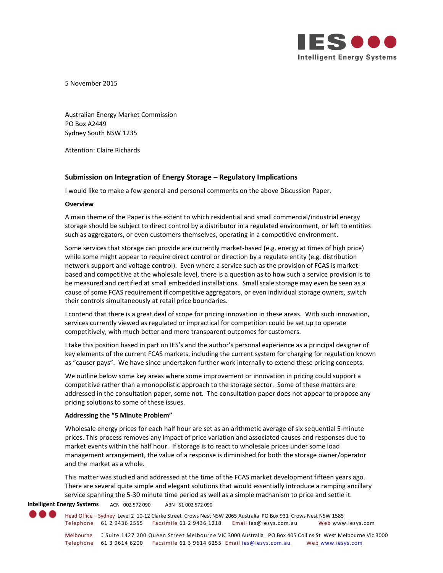

5 November 2015

Australian Energy Market Commission PO Box A2449 Sydney South NSW 1235

Attention: Claire Richards

# **Submission on Integration of Energy Storage – Regulatory Implications**

I would like to make a few general and personal comments on the above Discussion Paper.

## **Overview**

A main theme of the Paper is the extent to which residential and small commercial/industrial energy storage should be subject to direct control by a distributor in a regulated environment, or left to entities such as aggregators, or even customers themselves, operating in a competitive environment.

Some services that storage can provide are currently market-based (e.g. energy at times of high price) while some might appear to require direct control or direction by a regulate entity (e.g. distribution network support and voltage control). Even where a service such as the provision of FCAS is marketbased and competitive at the wholesale level, there is a question as to how such a service provision is to be measured and certified at small embedded installations. Small scale storage may even be seen as a cause of some FCAS requirement if competitive aggregators, or even individual storage owners, switch their controls simultaneously at retail price boundaries.

I contend that there is a great deal of scope for pricing innovation in these areas. With such innovation, services currently viewed as regulated or impractical for competition could be set up to operate competitively, with much better and more transparent outcomes for customers.

I take this position based in part on IES's and the author's personal experience as a principal designer of key elements of the current FCAS markets, including the current system for charging for regulation known as "causer pays". We have since undertaken further work internally to extend these pricing concepts.

We outline below some key areas where some improvement or innovation in pricing could support a competitive rather than a monopolistic approach to the storage sector. Some of these matters are addressed in the consultation paper, some not. The consultation paper does not appear to propose any pricing solutions to some of these issues.

## **Addressing the "5 Minute Problem"**

Wholesale energy prices for each half hour are set as an arithmetic average of six sequential 5-minute prices. This process removes any impact of price variation and associated causes and responses due to market events within the half hour. If storage is to react to wholesale prices under some load management arrangement, the value of a response is diminished for both the storage owner/operator and the market as a whole.

This matter was studied and addressed at the time of the FCAS market development fifteen years ago. There are several quite simple and elegant solutions that would essentially introduce a ramping ancillary service spanning the 5-30 minute time period as well as a simple machanism to price and settle it.

**Intelligent Energy Systems** ACN 002 572 090 ABN 51 002 572 090

Head Office – Sydney Level 2 10-12 Clarke Street Crows Nest NSW 2065 Australia PO Box 931 Crows Nest NSW 1585 Telephone 61 2 9436 2555 Facsimile 61 2 9436 1218 Email ies@iesys.com.au Web www.iesys.com

Melbourne : Suite 1427 200 Queen Street Melbourne VIC 3000 Australia PO Box 405 Collins St West Melbourne Vic 3000 Telephone 61 3 9614 6200 Facsimile 61 3 9614 6255 Email [ies@iesys.com.au](mailto:ies@iesys.com.au) Web [www.iesys.com](http://www.iesys.com/)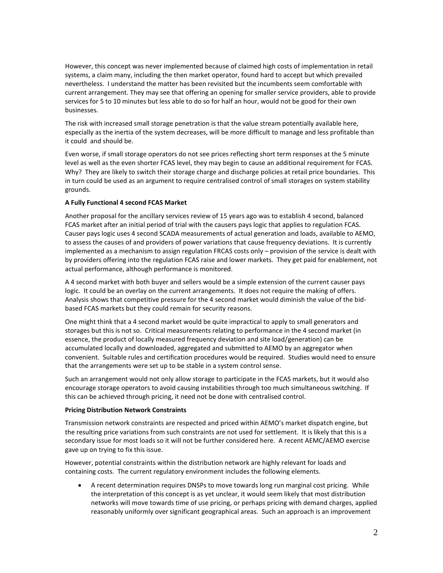However, this concept was never implemented because of claimed high costs of implementation in retail systems, a claim many, including the then market operator, found hard to accept but which prevailed nevertheless. I understand the matter has been revisited but the incumbents seem comfortable with current arrangement. They may see that offering an opening for smaller service providers, able to provide services for 5 to 10 minutes but less able to do so for half an hour, would not be good for their own businesses.

The risk with increased small storage penetration is that the value stream potentially available here, especially as the inertia of the system decreases, will be more difficult to manage and less profitable than it could and should be.

Even worse, if small storage operators do not see prices reflecting short term responses at the 5 minute level as well as the even shorter FCAS level, they may begin to cause an additional requirement for FCAS. Why? They are likely to switch their storage charge and discharge policies at retail price boundaries. This in turn could be used as an argument to require centralised control of small storages on system stability grounds.

# **A Fully Functional 4 second FCAS Market**

Another proposal for the ancillary services review of 15 years ago was to establish 4 second, balanced FCAS market after an initial period of trial with the causers pays logic that applies to regulation FCAS. Causer pays logic uses 4 second SCADA measurements of actual generation and loads, available to AEMO, to assess the causes of and providers of power variations that cause frequency deviations. It is currently implemented as a mechanism to assign regulation FRCAS costs only – provision of the service is dealt with by providers offering into the regulation FCAS raise and lower markets. They get paid for enablement, not actual performance, although performance is monitored.

A 4 second market with both buyer and sellers would be a simple extension of the current causer pays logic. It could be an overlay on the current arrangements. It does not require the making of offers. Analysis shows that competitive pressure for the 4 second market would diminish the value of the bidbased FCAS markets but they could remain for security reasons.

One might think that a 4 second market would be quite impractical to apply to small generators and storages but this is not so. Critical measurements relating to performance in the 4 second market (in essence, the product of locally measured frequency deviation and site load/generation) can be accumulated locally and downloaded, aggregated and submitted to AEMO by an aggregator when convenient. Suitable rules and certification procedures would be required. Studies would need to ensure that the arrangements were set up to be stable in a system control sense.

Such an arrangement would not only allow storage to participate in the FCAS markets, but it would also encourage storage operators to avoid causing instabilities through too much simultaneous switching. If this can be achieved through pricing, it need not be done with centralised control.

## **Pricing Distribution Network Constraints**

Transmission network constraints are respected and priced within AEMO's market dispatch engine, but the resulting price variations from such constraints are not used for settlement. It is likely that this is a secondary issue for most loads so it will not be further considered here. A recent AEMC/AEMO exercise gave up on trying to fix this issue.

However, potential constraints within the distribution network are highly relevant for loads and containing costs. The current regulatory environment includes the following elements.

 A recent determination requires DNSPs to move towards long run marginal cost pricing. While the interpretation of this concept is as yet unclear, it would seem likely that most distribution networks will move towards time of use pricing, or perhaps pricing with demand charges, applied reasonably uniformly over significant geographical areas. Such an approach is an improvement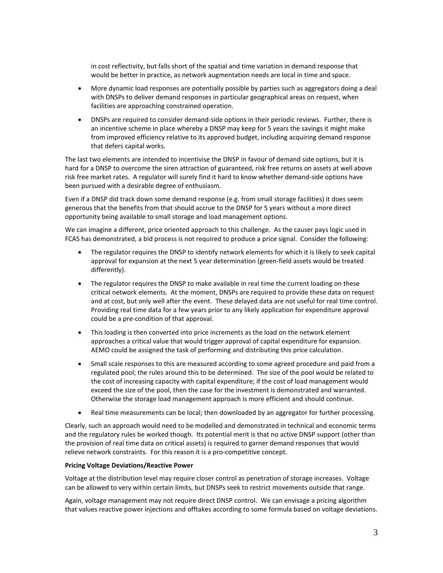in cost reflectivity, but falls short of the spatial and time variation in demand response that would be better in practice, as network augmentation needs are local in time and space.

- More dynamic load responses are potentially possible by parties such as aggregators doing a deal with DNSPs to deliver demand responses in particular geographical areas on request, when facilities are approaching constrained operation.
- DNSPs are required to consider demand-side options in their periodic reviews. Further, there is an incentive scheme in place whereby a DNSP may keep for 5 years the savings it might make from improved efficiency relative to its approved budget, including acquiring demand response that defers capital works.

The last two elements are intended to incentivise the DNSP in favour of demand side options, but it is hard for a DNSP to overcome the siren attraction of guaranteed, risk free returns on assets at well above risk free market rates. A regulator will surely find it hard to know whether demand-side options have been pursued with a desirable degree of enthusiasm.

Even if a DNSP did track down some demand response (e.g. from small storage facilities) it does seem generous that the benefits from that should accrue to the DNSP for 5 years without a more direct opportunity being available to small storage and load management options.

We can imagine a different, price oriented approach to this challenge. As the causer pays logic used in FCAS has demonstrated, a bid process is not required to produce a price signal. Consider the following:

- The regulator requires the DNSP to identify network elements for which it is likely to seek capital approval for expansion at the next 5 year determination (green-field assets would be treated differently).
- The regulator requires the DNSP to make available in real time the current loading on these critical network elements. At the moment, DNSPs are required to provide these data on request and at cost, but only well after the event. These delayed data are not useful for real time control. Providing real time data for a few years prior to any likely application for expenditure approval could be a pre-condition of that approval.
- This loading is then converted into price increments as the load on the network element approaches a critical value that would trigger approval of capital expenditure for expansion. AEMO could be assigned the task of performing and distributing this price calculation.
- Small scale responses to this are measured according to some agreed procedure and paid from a regulated pool; the rules around this to be determined. The size of the pool would be related to the cost of increasing capacity with capital expenditure; if the cost of load management would exceed the size of the pool, then the case for the investment is demonstrated and warranted. Otherwise the storage load management approach is more efficient and should continue.
- Real time measurements can be local; then downloaded by an aggregator for further processing.

Clearly, such an approach would need to be modelled and demonstrated in technical and economic terms and the regulatory rules be worked though. Its potential merit is that no active DNSP support (other than the provision of real time data on critical assets) is required to garner demand responses that would relieve network constraints. For this reason it is a pro-competitive concept.

## **Pricing Voltage Deviations/Reactive Power**

Voltage at the distribution level may require closer control as penetration of storage increases. Voltage can be allowed to very within certain limits, but DNSPs seek to restrict movements outside that range.

Again, voltage management may not require direct DNSP control. We can envisage a pricing algorithm that values reactive power injections and offtakes according to some formula based on voltage deviations.